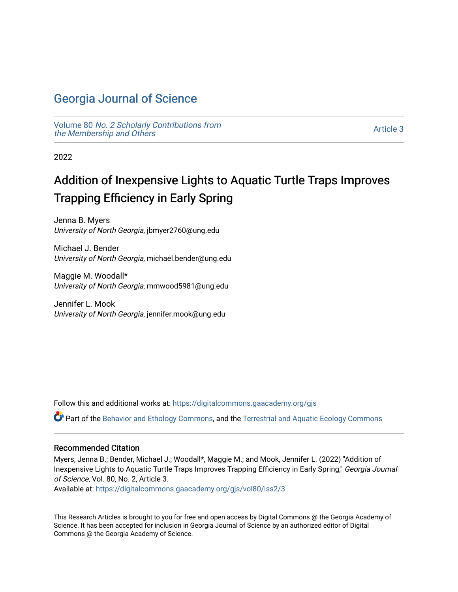# [Georgia Journal of Science](https://digitalcommons.gaacademy.org/gjs)

Volume 80 [No. 2 Scholarly Contributions from](https://digitalcommons.gaacademy.org/gjs/vol80) [the Membership and Others](https://digitalcommons.gaacademy.org/gjs/vol80) 

[Article 3](https://digitalcommons.gaacademy.org/gjs/vol80/iss2/3) 

2022

# Addition of Inexpensive Lights to Aquatic Turtle Traps Improves Trapping Efficiency in Early Spring

Jenna B. Myers University of North Georgia, jbmyer2760@ung.edu

Michael J. Bender University of North Georgia, michael.bender@ung.edu

Maggie M. Woodall\* University of North Georgia, mmwood5981@ung.edu

Jennifer L. Mook University of North Georgia, jennifer.mook@ung.edu

Follow this and additional works at: [https://digitalcommons.gaacademy.org/gjs](https://digitalcommons.gaacademy.org/gjs?utm_source=digitalcommons.gaacademy.org%2Fgjs%2Fvol80%2Fiss2%2F3&utm_medium=PDF&utm_campaign=PDFCoverPages) 

Part of the [Behavior and Ethology Commons,](http://network.bepress.com/hgg/discipline/15?utm_source=digitalcommons.gaacademy.org%2Fgjs%2Fvol80%2Fiss2%2F3&utm_medium=PDF&utm_campaign=PDFCoverPages) and the [Terrestrial and Aquatic Ecology Commons](http://network.bepress.com/hgg/discipline/20?utm_source=digitalcommons.gaacademy.org%2Fgjs%2Fvol80%2Fiss2%2F3&utm_medium=PDF&utm_campaign=PDFCoverPages)

#### Recommended Citation

Myers, Jenna B.; Bender, Michael J.; Woodall\*, Maggie M.; and Mook, Jennifer L. (2022) "Addition of Inexpensive Lights to Aquatic Turtle Traps Improves Trapping Efficiency in Early Spring," Georgia Journal of Science, Vol. 80, No. 2, Article 3.

Available at: [https://digitalcommons.gaacademy.org/gjs/vol80/iss2/3](https://digitalcommons.gaacademy.org/gjs/vol80/iss2/3?utm_source=digitalcommons.gaacademy.org%2Fgjs%2Fvol80%2Fiss2%2F3&utm_medium=PDF&utm_campaign=PDFCoverPages)

This Research Articles is brought to you for free and open access by Digital Commons @ the Georgia Academy of Science. It has been accepted for inclusion in Georgia Journal of Science by an authorized editor of Digital Commons @ the Georgia Academy of Science.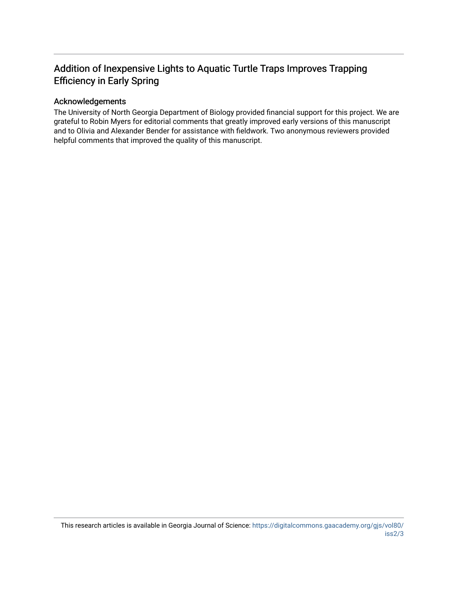# Addition of Inexpensive Lights to Aquatic Turtle Traps Improves Trapping Efficiency in Early Spring

### Acknowledgements

The University of North Georgia Department of Biology provided financial support for this project. We are grateful to Robin Myers for editorial comments that greatly improved early versions of this manuscript and to Olivia and Alexander Bender for assistance with fieldwork. Two anonymous reviewers provided helpful comments that improved the quality of this manuscript.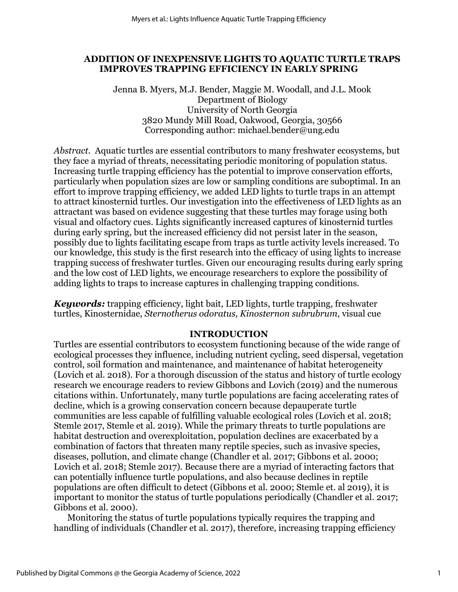# **ADDITION OF INEXPENSIVE LIGHTS TO AQUATIC TURTLE TRAPS IMPROVES TRAPPING EFFICIENCY IN EARLY SPRING**

Jenna B. Myers, M.J. Bender, Maggie M. Woodall, and J.L. Mook Department of Biology University of North Georgia 3820 Mundy Mill Road, Oakwood, Georgia, 30566 Corresponding author: michael.bender@ung.edu

*Abstract.* Aquatic turtles are essential contributors to many freshwater ecosystems, but they face a myriad of threats, necessitating periodic monitoring of population status. Increasing turtle trapping efficiency has the potential to improve conservation efforts, particularly when population sizes are low or sampling conditions are suboptimal. In an effort to improve trapping efficiency, we added LED lights to turtle traps in an attempt to attract kinosternid turtles. Our investigation into the effectiveness of LED lights as an attractant was based on evidence suggesting that these turtles may forage using both visual and olfactory cues. Lights significantly increased captures of kinosternid turtles during early spring, but the increased efficiency did not persist later in the season, possibly due to lights facilitating escape from traps as turtle activity levels increased. To our knowledge, this study is the first research into the efficacy of using lights to increase trapping success of freshwater turtles. Given our encouraging results during early spring and the low cost of LED lights, we encourage researchers to explore the possibility of adding lights to traps to increase captures in challenging trapping conditions.

*Keywords:* trapping efficiency, light bait, LED lights, turtle trapping, freshwater turtles, Kinosternidae, *Sternotherus odoratus*, *Kinosternon subrubrum*, visual cue

# **INTRODUCTION**

Turtles are essential contributors to ecosystem functioning because of the wide range of ecological processes they influence, including nutrient cycling, seed dispersal, vegetation control, soil formation and maintenance, and maintenance of habitat heterogeneity (Lovich et al. 2018). For a thorough discussion of the status and history of turtle ecology research we encourage readers to review Gibbons and Lovich (2019) and the numerous citations within. Unfortunately, many turtle populations are facing accelerating rates of decline, which is a growing conservation concern because depauperate turtle communities are less capable of fulfilling valuable ecological roles (Lovich et al. 2018; Stemle 2017, Stemle et al. 2019). While the primary threats to turtle populations are habitat destruction and overexploitation, population declines are exacerbated by a combination of factors that threaten many reptile species, such as invasive species, diseases, pollution, and climate change (Chandler et al. 2017; Gibbons et al. 2000; Lovich et al. 2018; Stemle 2017). Because there are a myriad of interacting factors that can potentially influence turtle populations, and also because declines in reptile populations are often difficult to detect (Gibbons et al. 2000; Stemle et. al 2019), it is important to monitor the status of turtle populations periodically (Chandler et al. 2017; Gibbons et al. 2000).

Monitoring the status of turtle populations typically requires the trapping and handling of individuals (Chandler et al. 2017), therefore, increasing trapping efficiency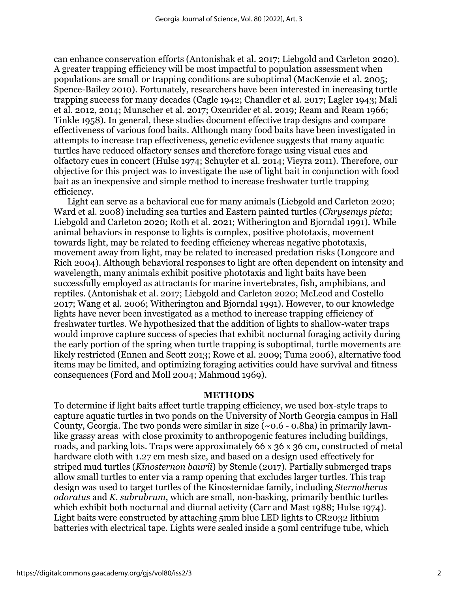can enhance conservation efforts (Antonishak et al. 2017; Liebgold and Carleton 2020). A greater trapping efficiency will be most impactful to population assessment when populations are small or trapping conditions are suboptimal (MacKenzie et al. 2005; Spence-Bailey 2010). Fortunately, researchers have been interested in increasing turtle trapping success for many decades (Cagle 1942; Chandler et al. 2017; Lagler 1943; Mali et al. 2012, 2014; Munscher et al. 2017; Oxenrider et al. 2019; Ream and Ream 1966; Tinkle 1958). In general, these studies document effective trap designs and compare effectiveness of various food baits. Although many food baits have been investigated in attempts to increase trap effectiveness, genetic evidence suggests that many aquatic turtles have reduced olfactory senses and therefore forage using visual cues and olfactory cues in concert (Hulse 1974; Schuyler et al. 2014; Vieyra 2011). Therefore, our objective for this project was to investigate the use of light bait in conjunction with food bait as an inexpensive and simple method to increase freshwater turtle trapping efficiency.

Light can serve as a behavioral cue for many animals (Liebgold and Carleton 2020; Ward et al. 2008) including sea turtles and Eastern painted turtles (*Chrysemys picta*; Liebgold and Carleton 2020; Roth et al. 2021; Witherington and Bjorndal 1991). While animal behaviors in response to lights is complex, positive phototaxis, movement towards light, may be related to feeding efficiency whereas negative phototaxis, movement away from light, may be related to increased predation risks (Longcore and Rich 2004). Although behavioral responses to light are often dependent on intensity and wavelength, many animals exhibit positive phototaxis and light baits have been successfully employed as attractants for marine invertebrates, fish, amphibians, and reptiles. (Antonishak et al. 2017; Liebgold and Carleton 2020; McLeod and Costello 2017; Wang et al. 2006; Witherington and Bjorndal 1991). However, to our knowledge lights have never been investigated as a method to increase trapping efficiency of freshwater turtles. We hypothesized that the addition of lights to shallow-water traps would improve capture success of species that exhibit nocturnal foraging activity during the early portion of the spring when turtle trapping is suboptimal, turtle movements are likely restricted (Ennen and Scott 2013; Rowe et al. 2009; Tuma 2006), alternative food items may be limited, and optimizing foraging activities could have survival and fitness consequences (Ford and Moll 2004; Mahmoud 1969).

#### **METHODS**

To determine if light baits affect turtle trapping efficiency, we used box-style traps to capture aquatic turtles in two ponds on the University of North Georgia campus in Hall County, Georgia. The two ponds were similar in size  $(\sim 0.6 - 0.8$ ha) in primarily lawnlike grassy areas with close proximity to anthropogenic features including buildings, roads, and parking lots. Traps were approximately 66 x 36 x 36 cm, constructed of metal hardware cloth with 1.27 cm mesh size, and based on a design used effectively for striped mud turtles (*Kinosternon baurii*) by Stemle (2017). Partially submerged traps allow small turtles to enter via a ramp opening that excludes larger turtles. This trap design was used to target turtles of the Kinosternidae family, including *Sternotherus odoratus* and *K. subrubrum*, which are small, non-basking, primarily benthic turtles which exhibit both nocturnal and diurnal activity (Carr and Mast 1988; Hulse 1974). Light baits were constructed by attaching 5mm blue LED lights to CR2032 lithium batteries with electrical tape. Lights were sealed inside a 50ml centrifuge tube, which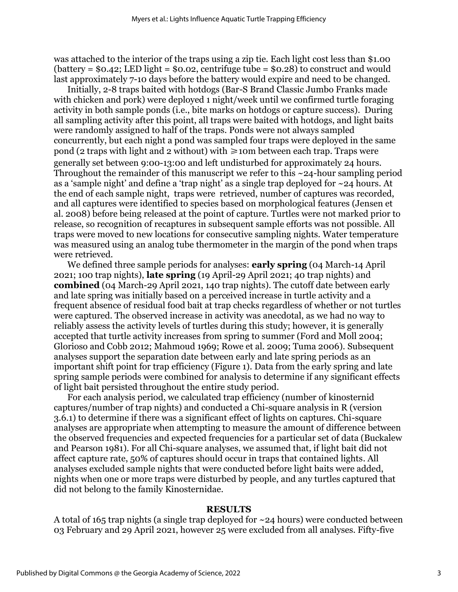was attached to the interior of the traps using a zip tie. Each light cost less than \$1.00 (battery =  $$0.42$ ; LED light =  $$0.02$ , centrifuge tube =  $$0.28$ ) to construct and would last approximately 7-10 days before the battery would expire and need to be changed.

Initially, 2-8 traps baited with hotdogs (Bar-S Brand Classic Jumbo Franks made with chicken and pork) were deployed 1 night/week until we confirmed turtle foraging activity in both sample ponds (i.e., bite marks on hotdogs or capture success). During all sampling activity after this point, all traps were baited with hotdogs, and light baits were randomly assigned to half of the traps. Ponds were not always sampled concurrently, but each night a pond was sampled four traps were deployed in the same pond (2 traps with light and 2 without) with  $\geq$ 10m between each trap. Traps were generally set between 9:00-13:00 and left undisturbed for approximately 24 hours. Throughout the remainder of this manuscript we refer to this ~24-hour sampling period as a 'sample night' and define a 'trap night' as a single trap deployed for ~24 hours. At the end of each sample night, traps were retrieved, number of captures was recorded, and all captures were identified to species based on morphological features (Jensen et al. 2008) before being released at the point of capture. Turtles were not marked prior to release, so recognition of recaptures in subsequent sample efforts was not possible. All traps were moved to new locations for consecutive sampling nights. Water temperature was measured using an analog tube thermometer in the margin of the pond when traps were retrieved.

We defined three sample periods for analyses: **early spring** (04 March-14 April 2021; 100 trap nights), **late spring** (19 April-29 April 2021; 40 trap nights) and **combined** (04 March-29 April 2021, 140 trap nights). The cutoff date between early and late spring was initially based on a perceived increase in turtle activity and a frequent absence of residual food bait at trap checks regardless of whether or not turtles were captured. The observed increase in activity was anecdotal, as we had no way to reliably assess the activity levels of turtles during this study; however, it is generally accepted that turtle activity increases from spring to summer (Ford and Moll 2004; Glorioso and Cobb 2012; Mahmoud 1969; Rowe et al. 2009; Tuma 2006). Subsequent analyses support the separation date between early and late spring periods as an important shift point for trap efficiency (Figure 1). Data from the early spring and late spring sample periods were combined for analysis to determine if any significant effects of light bait persisted throughout the entire study period.

For each analysis period, we calculated trap efficiency (number of kinosternid captures/number of trap nights) and conducted a Chi-square analysis in R (version 3.6.1) to determine if there was a significant effect of lights on captures. Chi-square analyses are appropriate when attempting to measure the amount of difference between the observed frequencies and expected frequencies for a particular set of data (Buckalew and Pearson 1981). For all Chi-square analyses, we assumed that, if light bait did not affect capture rate, 50% of captures should occur in traps that contained lights. All analyses excluded sample nights that were conducted before light baits were added, nights when one or more traps were disturbed by people, and any turtles captured that did not belong to the family Kinosternidae.

#### **RESULTS**

A total of 165 trap nights (a single trap deployed for ~24 hours) were conducted between 03 February and 29 April 2021, however 25 were excluded from all analyses. Fifty-five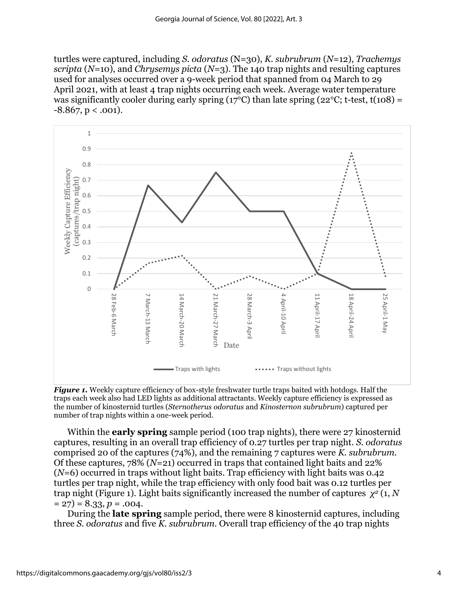turtles were captured, including *S. odoratus* (N=30), *K. subrubrum* (*N*=12), *Trachemys scripta* (*N*=10), and *Chrysemys picta* (*N*=3). The 140 trap nights and resulting captures used for analyses occurred over a 9-week period that spanned from 04 March to 29 April 2021, with at least 4 trap nights occurring each week. Average water temperature was significantly cooler during early spring (17<sup>o</sup>C) than late spring (22<sup>o</sup>C; t-test, t(108) =  $-8.867$ , p < .001).



*Figure 1.* Weekly capture efficiency of box-style freshwater turtle traps baited with hotdogs. Half the traps each week also had LED lights as additional attractants. Weekly capture efficiency is expressed as the number of kinosternid turtles (*Sternotherus odoratus* and *Kinosternon subrubrum*) captured per number of trap nights within a one-week period.

Within the **early spring** sample period (100 trap nights), there were 27 kinosternid captures, resulting in an overall trap efficiency of 0.27 turtles per trap night. *S. odoratus* comprised 20 of the captures (74%), and the remaining 7 captures were *K. subrubrum.*  Of these captures, 78% (*N*=21) occurred in traps that contained light baits and 22% (*N*=6) occurred in traps without light baits. Trap efficiency with light baits was 0.42 turtles per trap night, while the trap efficiency with only food bait was 0.12 turtles per trap night (Figure 1). Light baits significantly increased the number of captures *χ<sup>2</sup>* (1, *N*  $= 27$ ) = 8.33, *p* = .004.

During the **late spring** sample period, there were 8 kinosternid captures, including three *S. odoratus* and five *K. subrubrum.* Overall trap efficiency of the 40 trap nights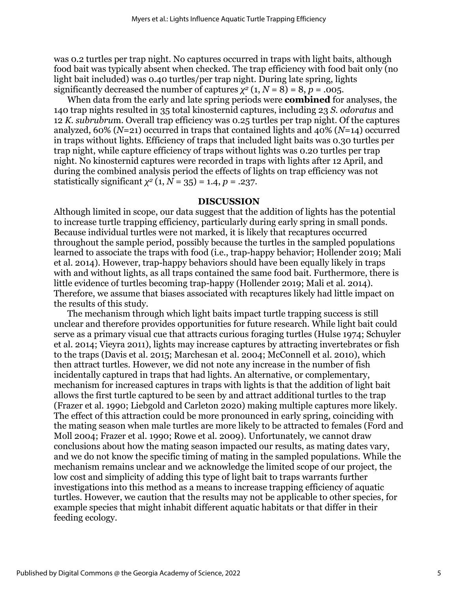was 0.2 turtles per trap night. No captures occurred in traps with light baits, although food bait was typically absent when checked. The trap efficiency with food bait only (no light bait included) was 0.40 turtles/per trap night. During late spring, lights significantly decreased the number of captures  $\chi^2$  (1,  $N = 8$ ) = 8,  $p = .005$ .

When data from the early and late spring periods were **combined** for analyses, the 140 trap nights resulted in 35 total kinosternid captures, including 23 *S. odoratus* and 12 *K. subrubru*m. Overall trap efficiency was 0.25 turtles per trap night. Of the captures analyzed, 60% (*N*=21) occurred in traps that contained lights and 40% (*N*=14) occurred in traps without lights. Efficiency of traps that included light baits was 0.30 turtles per trap night, while capture efficiency of traps without lights was 0.20 turtles per trap night. No kinosternid captures were recorded in traps with lights after 12 April, and during the combined analysis period the effects of lights on trap efficiency was not statistically significant  $\chi^2$  (1,  $N = 35$ ) = 1.4,  $p = .237$ .

#### **DISCUSSION**

Although limited in scope, our data suggest that the addition of lights has the potential to increase turtle trapping efficiency, particularly during early spring in small ponds. Because individual turtles were not marked, it is likely that recaptures occurred throughout the sample period, possibly because the turtles in the sampled populations learned to associate the traps with food (i.e., trap-happy behavior; Hollender 2019; Mali et al. 2014). However, trap-happy behaviors should have been equally likely in traps with and without lights, as all traps contained the same food bait. Furthermore, there is little evidence of turtles becoming trap-happy (Hollender 2019; Mali et al. 2014). Therefore, we assume that biases associated with recaptures likely had little impact on the results of this study.

The mechanism through which light baits impact turtle trapping success is still unclear and therefore provides opportunities for future research. While light bait could serve as a primary visual cue that attracts curious foraging turtles (Hulse 1974; Schuyler et al. 2014; Vieyra 2011), lights may increase captures by attracting invertebrates or fish to the traps (Davis et al. 2015; Marchesan et al. 2004; McConnell et al. 2010), which then attract turtles. However, we did not note any increase in the number of fish incidentally captured in traps that had lights. An alternative, or complementary, mechanism for increased captures in traps with lights is that the addition of light bait allows the first turtle captured to be seen by and attract additional turtles to the trap (Frazer et al. 1990; Liebgold and Carleton 2020) making multiple captures more likely. The effect of this attraction could be more pronounced in early spring, coinciding with the mating season when male turtles are more likely to be attracted to females (Ford and Moll 2004; Frazer et al. 1990; Rowe et al. 2009). Unfortunately, we cannot draw conclusions about how the mating season impacted our results, as mating dates vary, and we do not know the specific timing of mating in the sampled populations. While the mechanism remains unclear and we acknowledge the limited scope of our project, the low cost and simplicity of adding this type of light bait to traps warrants further investigations into this method as a means to increase trapping efficiency of aquatic turtles. However, we caution that the results may not be applicable to other species, for example species that might inhabit different aquatic habitats or that differ in their feeding ecology.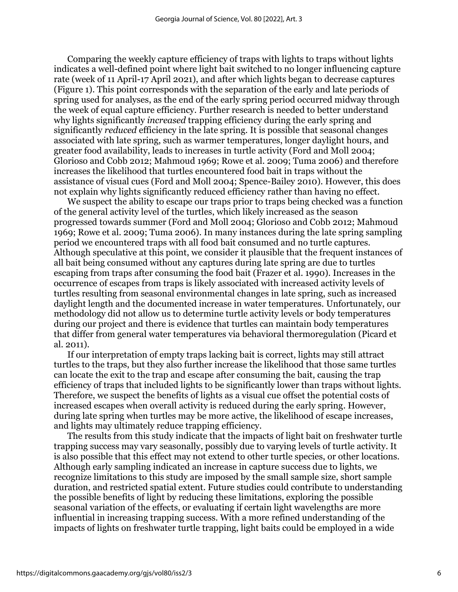Comparing the weekly capture efficiency of traps with lights to traps without lights indicates a well-defined point where light bait switched to no longer influencing capture rate (week of 11 April-17 April 2021), and after which lights began to decrease captures (Figure 1). This point corresponds with the separation of the early and late periods of spring used for analyses, as the end of the early spring period occurred midway through the week of equal capture efficiency. Further research is needed to better understand why lights significantly *increased* trapping efficiency during the early spring and significantly *reduced* efficiency in the late spring. It is possible that seasonal changes associated with late spring, such as warmer temperatures, longer daylight hours, and greater food availability, leads to increases in turtle activity (Ford and Moll 2004; Glorioso and Cobb 2012; Mahmoud 1969; Rowe et al. 2009; Tuma 2006) and therefore increases the likelihood that turtles encountered food bait in traps without the assistance of visual cues (Ford and Moll 2004; Spence-Bailey 2010). However, this does not explain why lights significantly reduced efficiency rather than having no effect.

We suspect the ability to escape our traps prior to traps being checked was a function of the general activity level of the turtles, which likely increased as the season progressed towards summer (Ford and Moll 2004; Glorioso and Cobb 2012; Mahmoud 1969; Rowe et al. 2009; Tuma 2006). In many instances during the late spring sampling period we encountered traps with all food bait consumed and no turtle captures. Although speculative at this point, we consider it plausible that the frequent instances of all bait being consumed without any captures during late spring are due to turtles escaping from traps after consuming the food bait (Frazer et al. 1990). Increases in the occurrence of escapes from traps is likely associated with increased activity levels of turtles resulting from seasonal environmental changes in late spring, such as increased daylight length and the documented increase in water temperatures. Unfortunately, our methodology did not allow us to determine turtle activity levels or body temperatures during our project and there is evidence that turtles can maintain body temperatures that differ from general water temperatures via behavioral thermoregulation (Picard et al. 2011).

If our interpretation of empty traps lacking bait is correct, lights may still attract turtles to the traps, but they also further increase the likelihood that those same turtles can locate the exit to the trap and escape after consuming the bait, causing the trap efficiency of traps that included lights to be significantly lower than traps without lights. Therefore, we suspect the benefits of lights as a visual cue offset the potential costs of increased escapes when overall activity is reduced during the early spring. However, during late spring when turtles may be more active, the likelihood of escape increases, and lights may ultimately reduce trapping efficiency.

The results from this study indicate that the impacts of light bait on freshwater turtle trapping success may vary seasonally, possibly due to varying levels of turtle activity. It is also possible that this effect may not extend to other turtle species, or other locations. Although early sampling indicated an increase in capture success due to lights, we recognize limitations to this study are imposed by the small sample size, short sample duration, and restricted spatial extent. Future studies could contribute to understanding the possible benefits of light by reducing these limitations, exploring the possible seasonal variation of the effects, or evaluating if certain light wavelengths are more influential in increasing trapping success. With a more refined understanding of the impacts of lights on freshwater turtle trapping, light baits could be employed in a wide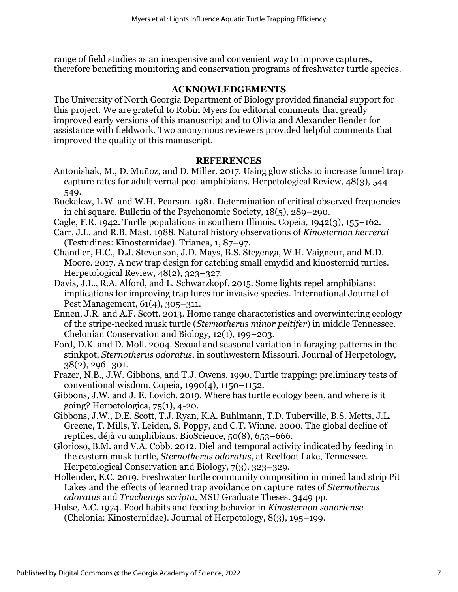range of field studies as an inexpensive and convenient way to improve captures, therefore benefiting monitoring and conservation programs of freshwater turtle species.

## **ACKNOWLEDGEMENTS**

The University of North Georgia Department of Biology provided financial support for this project. We are grateful to Robin Myers for editorial comments that greatly improved early versions of this manuscript and to Olivia and Alexander Bender for assistance with fieldwork. Two anonymous reviewers provided helpful comments that improved the quality of this manuscript.

## **REFERENCES**

- Antonishak, M., D. Muñoz, and D. Miller. 2017. Using glow sticks to increase funnel trap capture rates for adult vernal pool amphibians. Herpetological Review, 48(3), 544– 549.
- Buckalew, L.W. and W.H. Pearson. 1981. Determination of critical observed frequencies in chi square. Bulletin of the Psychonomic Society, 18(5), 289–290.
- Cagle, F.R. 1942. Turtle populations in southern Illinois. Copeia, 1942(3), 155–162.
- Carr, J.L. and R.B. Mast. 1988. Natural history observations of *Kinosternon herrerai* (Testudines: Kinosternidae). Trianea, 1, 87–97.
- Chandler, H.C., D.J. Stevenson, J.D. Mays, B.S. Stegenga, W.H. Vaigneur, and M.D. Moore. 2017. A new trap design for catching small emydid and kinosternid turtles. Herpetological Review, 48(2), 323–327.

Davis, J.L., R.A. Alford, and L. Schwarzkopf. 2015. Some lights repel amphibians: implications for improving trap lures for invasive species. International Journal of Pest Management, 61(4), 305–311.

- Ennen, J.R. and A.F. Scott. 2013. Home range characteristics and overwintering ecology of the stripe-necked musk turtle (*Sternotherus minor peltifer*) in middle Tennessee. Chelonian Conservation and Biology, 12(1), 199–203.
- Ford, D.K. and D. Moll. 2004. Sexual and seasonal variation in foraging patterns in the stinkpot, *Sternotherus odoratus*, in southwestern Missouri. Journal of Herpetology, 38(2), 296–301.

Frazer, N.B., J.W. Gibbons, and T.J. Owens. 1990. Turtle trapping: preliminary tests of conventional wisdom. Copeia, 1990(4), 1150–1152.

- Gibbons, J.W. and J. E. Lovich. 2019. Where has turtle ecology been, and where is it going? Herpetologica, 75(1), 4-20.
- Gibbons, J.W., D.E. Scott, T.J. Ryan, K.A. Buhlmann, T.D. Tuberville, B.S. Metts, J.L. Greene, T. Mills, Y. Leiden, S. Poppy, and C.T. Winne. 2000. The global decline of reptiles, déjà vu amphibians. BioScience, 50(8), 653–666.
- Glorioso, B.M. and V.A. Cobb. 2012. Diel and temporal activity indicated by feeding in the eastern musk turtle, *Sternotherus odoratus*, at Reelfoot Lake, Tennessee. Herpetological Conservation and Biology, 7(3), 323–329.
- Hollender, E.C. 2019. Freshwater turtle community composition in mined land strip Pit Lakes and the effects of learned trap avoidance on capture rates of *Sternotherus odoratus* and *Trachemys scripta*. MSU Graduate Theses. 3449 pp.
- Hulse, A.C. 1974. Food habits and feeding behavior in *Kinosternon sonoriense* (Chelonia: Kinosternidae). Journal of Herpetology, 8(3), 195–199.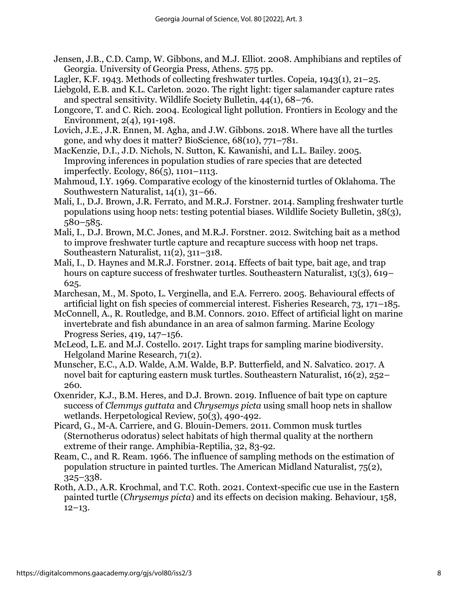- Jensen, J.B., C.D. Camp, W. Gibbons, and M.J. Elliot. 2008. Amphibians and reptiles of Georgia. University of Georgia Press, Athens. 575 pp.
- Lagler, K.F. 1943. Methods of collecting freshwater turtles. Copeia, 1943(1), 21–25.
- Liebgold, E.B. and K.L. Carleton. 2020. The right light: tiger salamander capture rates and spectral sensitivity. Wildlife Society Bulletin, 44(1), 68–76.
- Longcore, T. and C. Rich. 2004. Ecological light pollution. Frontiers in Ecology and the Environment, 2(4), 191-198.
- Lovich, J.E., J.R. Ennen, M. Agha, and J.W. Gibbons. 2018. Where have all the turtles gone, and why does it matter? BioScience, 68(10), 771–781.
- MacKenzie, D.I., J.D. Nichols, N. Sutton, K. Kawanishi, and L.L. Bailey. 2005. Improving inferences in population studies of rare species that are detected imperfectly. Ecology, 86(5), 1101–1113.
- Mahmoud, I.Y. 1969. Comparative ecology of the kinosternid turtles of Oklahoma. The Southwestern Naturalist, 14(1), 31–66.
- Mali, I., D.J. Brown, J.R. Ferrato, and M.R.J. Forstner. 2014. Sampling freshwater turtle populations using hoop nets: testing potential biases. Wildlife Society Bulletin, 38(3), 580–585.
- Mali, I., D.J. Brown, M.C. Jones, and M.R.J. Forstner. 2012. Switching bait as a method to improve freshwater turtle capture and recapture success with hoop net traps. Southeastern Naturalist, 11(2), 311–318.
- Mali, I., D. Haynes and M.R.J. Forstner. 2014. Effects of bait type, bait age, and trap hours on capture success of freshwater turtles. Southeastern Naturalist, 13(3), 619– 625.
- Marchesan, M., M. Spoto, L. Verginella, and E.A. Ferrero. 2005. Behavioural effects of artificial light on fish species of commercial interest. Fisheries Research, 73, 171–185.
- McConnell, A., R. Routledge, and B.M. Connors. 2010. Effect of artificial light on marine invertebrate and fish abundance in an area of salmon farming. Marine Ecology Progress Series, 419, 147–156.
- McLeod, L.E. and M.J. Costello. 2017. Light traps for sampling marine biodiversity. Helgoland Marine Research, 71(2).
- Munscher, E.C., A.D. Walde, A.M. Walde, B.P. Butterfield, and N. Salvatico. 2017. A novel bait for capturing eastern musk turtles. Southeastern Naturalist, 16(2), 252– 260.
- Oxenrider, K.J., B.M. Heres, and D.J. Brown. 2019. Influence of bait type on capture success of *Clemmys guttata* and *Chrysemys picta* using small hoop nets in shallow wetlands. Herpetological Review, 50(3), 490-492.
- Picard, G., M-A. Carriere, and G. Blouin-Demers. 2011. Common musk turtles (Sternotherus odoratus) select habitats of high thermal quality at the northern extreme of their range. Amphibia-Reptilia, 32, 83-92.
- Ream, C., and R. Ream. 1966. The influence of sampling methods on the estimation of population structure in painted turtles. The American Midland Naturalist, 75(2), 325–338.
- Roth, A.D., A.R. Krochmal, and T.C. Roth. 2021. Context-specific cue use in the Eastern painted turtle (*Chrysemys picta*) and its effects on decision making. Behaviour, 158,  $12-13.$